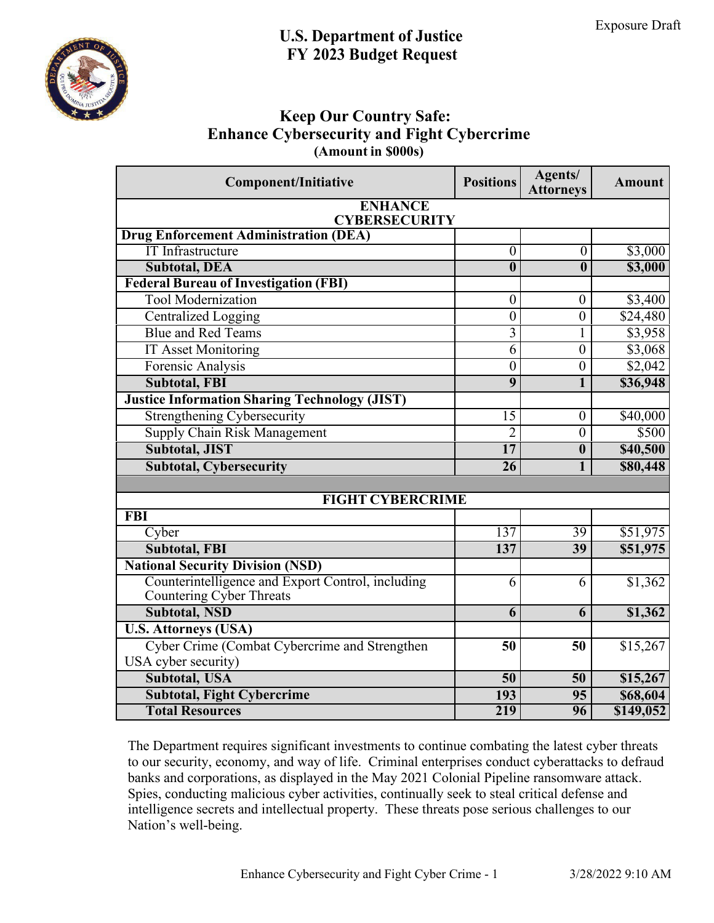

## **Keep Our Country Safe: Enhance Cybersecurity and Fight Cybercrime (Amount in \$000s)**

| <b>Component/Initiative</b>                                          | <b>Positions</b>        | Agents/<br><b>Attorneys</b> | <b>Amount</b> |
|----------------------------------------------------------------------|-------------------------|-----------------------------|---------------|
| <b>ENHANCE</b><br><b>CYBERSECURITY</b>                               |                         |                             |               |
| <b>Drug Enforcement Administration (DEA)</b>                         |                         |                             |               |
| <b>IT</b> Infrastructure                                             | $\overline{0}$          | $\overline{0}$              | \$3,000       |
| <b>Subtotal, DEA</b>                                                 | $\overline{\mathbf{0}}$ | $\overline{\mathbf{0}}$     | \$3,000       |
| <b>Federal Bureau of Investigation (FBI)</b>                         |                         |                             |               |
| <b>Tool Modernization</b>                                            | $\boldsymbol{0}$        | $\boldsymbol{0}$            | \$3,400       |
| <b>Centralized Logging</b>                                           | $\overline{0}$          | $\boldsymbol{0}$            | \$24,480      |
| <b>Blue and Red Teams</b>                                            | $\overline{3}$          | 1                           | \$3,958       |
| <b>IT Asset Monitoring</b>                                           | $\overline{6}$          | $\boldsymbol{0}$            | \$3,068       |
| Forensic Analysis                                                    | $\overline{0}$          | $\overline{0}$              | \$2,042       |
| <b>Subtotal, FBI</b>                                                 | $\overline{9}$          | 1                           | \$36,948      |
| <b>Justice Information Sharing Technology (JIST)</b>                 |                         |                             |               |
| <b>Strengthening Cybersecurity</b>                                   | 15                      | $\overline{0}$              | \$40,000      |
| <b>Supply Chain Risk Management</b>                                  | $\overline{2}$          | $\overline{0}$              | \$500         |
| <b>Subtotal, JIST</b>                                                | $\overline{17}$         | $\boldsymbol{0}$            | \$40,500      |
| <b>Subtotal, Cybersecurity</b>                                       | 26                      | 1                           | \$80,448      |
|                                                                      |                         |                             |               |
| <b>FIGHT CYBERCRIME</b>                                              |                         |                             |               |
| <b>FBI</b>                                                           |                         |                             |               |
| Cyber                                                                | 137                     | 39                          | \$51,975      |
| <b>Subtotal, FBI</b>                                                 | 137                     | 39                          | \$51,975      |
| <b>National Security Division (NSD)</b>                              |                         |                             |               |
| Counterintelligence and Export Control, including                    | 6                       | 6                           | \$1,362       |
| Countering Cyber Threats                                             |                         |                             |               |
| <b>Subtotal, NSD</b>                                                 | 6                       | 6                           | \$1,362       |
| <b>U.S. Attorneys (USA)</b>                                          |                         |                             |               |
| Cyber Crime (Combat Cybercrime and Strengthen<br>USA cyber security) | 50                      | 50                          | \$15,267      |
| <b>Subtotal, USA</b>                                                 | 50                      | 50                          | \$15,267      |
| <b>Subtotal, Fight Cybercrime</b>                                    | 193                     | 95                          | \$68,604      |
| <b>Total Resources</b>                                               | 219                     | 96                          | \$149,052     |
|                                                                      |                         |                             |               |

The Department requires significant investments to continue combating the latest cyber threats to our security, economy, and way of life. Criminal enterprises conduct cyberattacks to defraud banks and corporations, as displayed in the May 2021 Colonial Pipeline ransomware attack. Spies, conducting malicious cyber activities, continually seek to steal critical defense and intelligence secrets and intellectual property. These threats pose serious challenges to our Nation's well-being.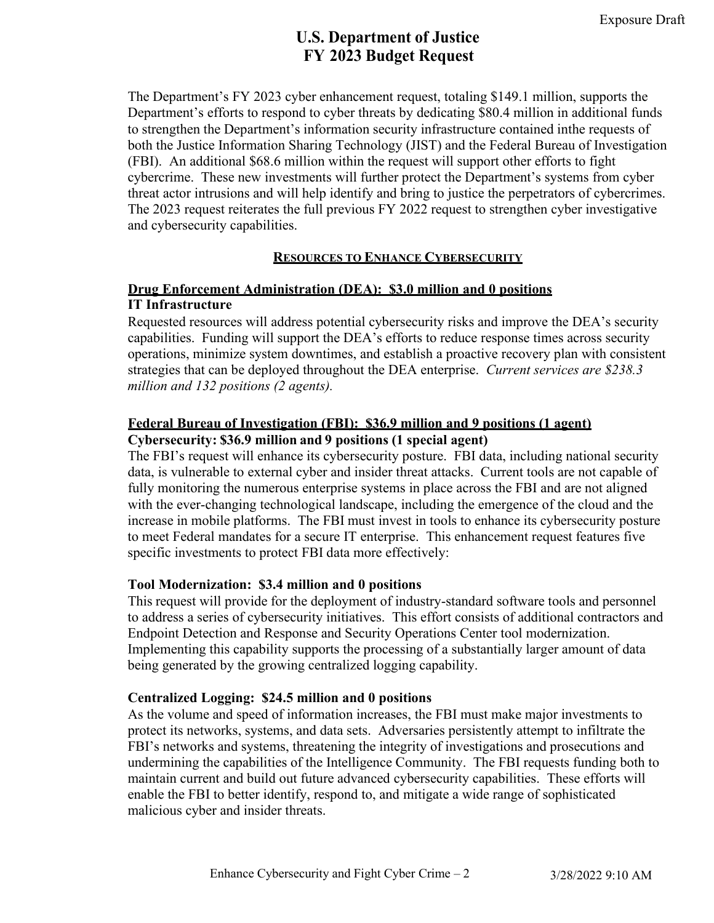The Department's FY 2023 cyber enhancement request, totaling \$149.1 million, supports the Department's efforts to respond to cyber threats by dedicating \$80.4 million in additional funds to strengthen the Department's information security infrastructure contained inthe requests of both the Justice Information Sharing Technology (JIST) and the Federal Bureau of Investigation (FBI). An additional \$68.6 million within the request will support other efforts to fight cybercrime. These new investments will further protect the Department's systems from cyber threat actor intrusions and will help identify and bring to justice the perpetrators of cybercrimes. The 2023 request reiterates the full previous FY 2022 request to strengthen cyber investigative and cybersecurity capabilities.

#### **RESOURCES TO ENHANCE CYBERSECURITY**

### **Drug Enforcement Administration (DEA): \$3.0 million and 0 positions IT Infrastructure**

Requested resources will address potential cybersecurity risks and improve the DEA's security capabilities. Funding will support the DEA's efforts to reduce response times across security operations, minimize system downtimes, and establish a proactive recovery plan with consistent strategies that can be deployed throughout the DEA enterprise. *Current services are \$238.3 million and 132 positions (2 agents).* 

### **Federal Bureau of Investigation (FBI): \$36.9 million and 9 positions (1 agent) Cybersecurity: \$36.9 million and 9 positions (1 special agent)**

The FBI's request will enhance its cybersecurity posture. FBI data, including national security data, is vulnerable to external cyber and insider threat attacks. Current tools are not capable of fully monitoring the numerous enterprise systems in place across the FBI and are not aligned with the ever-changing technological landscape, including the emergence of the cloud and the increase in mobile platforms. The FBI must invest in tools to enhance its cybersecurity posture to meet Federal mandates for a secure IT enterprise. This enhancement request features five specific investments to protect FBI data more effectively:

### **Tool Modernization: \$3.4 million and 0 positions**

This request will provide for the deployment of industry-standard software tools and personnel to address a series of cybersecurity initiatives. This effort consists of additional contractors and Endpoint Detection and Response and Security Operations Center tool modernization. Implementing this capability supports the processing of a substantially larger amount of data being generated by the growing centralized logging capability.

#### **Centralized Logging: \$24.5 million and 0 positions**

As the volume and speed of information increases, the FBI must make major investments to protect its networks, systems, and data sets. Adversaries persistently attempt to infiltrate the FBI's networks and systems, threatening the integrity of investigations and prosecutions and undermining the capabilities of the Intelligence Community. The FBI requests funding both to maintain current and build out future advanced cybersecurity capabilities. These efforts will enable the FBI to better identify, respond to, and mitigate a wide range of sophisticated malicious cyber and insider threats.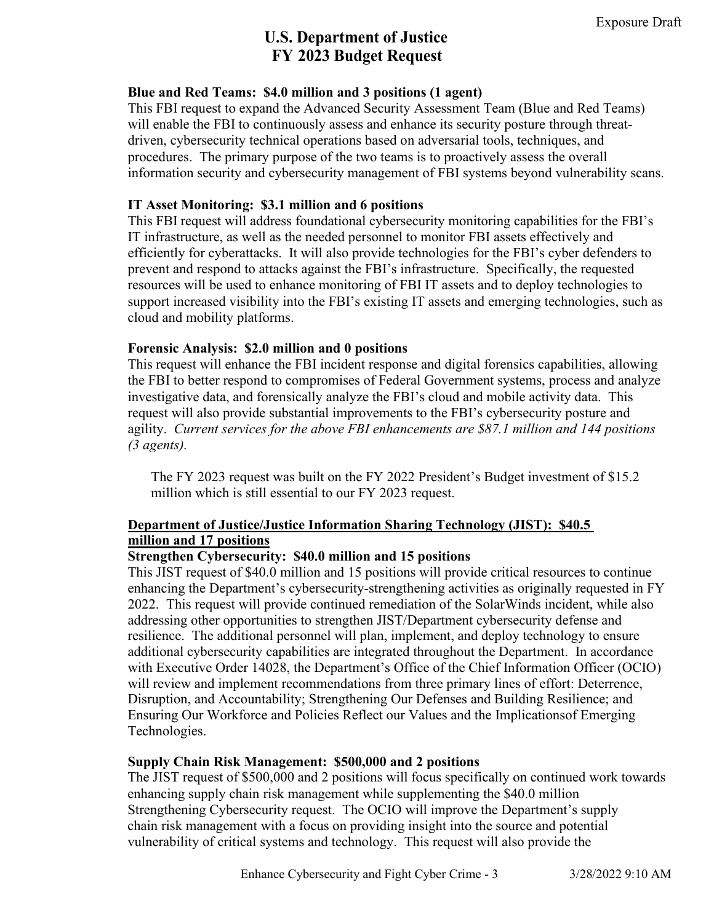### **Blue and Red Teams: \$4.0 million and 3 positions (1 agent)**

This FBI request to expand the Advanced Security Assessment Team (Blue and Red Teams) will enable the FBI to continuously assess and enhance its security posture through threatdriven, cybersecurity technical operations based on adversarial tools, techniques, and procedures. The primary purpose of the two teams is to proactively assess the overall information security and cybersecurity management of FBI systems beyond vulnerability scans.

### **IT Asset Monitoring: \$3.1 million and 6 positions**

This FBI request will address foundational cybersecurity monitoring capabilities for the FBI's IT infrastructure, as well as the needed personnel to monitor FBI assets effectively and efficiently for cyberattacks. It will also provide technologies for the FBI's cyber defenders to prevent and respond to attacks against the FBI's infrastructure. Specifically, the requested resources will be used to enhance monitoring of FBI IT assets and to deploy technologies to support increased visibility into the FBI's existing IT assets and emerging technologies, such as cloud and mobility platforms.

### **Forensic Analysis: \$2.0 million and 0 positions**

This request will enhance the FBI incident response and digital forensics capabilities, allowing the FBI to better respond to compromises of Federal Government systems, process and analyze investigative data, and forensically analyze the FBI's cloud and mobile activity data. This request will also provide substantial improvements to the FBI's cybersecurity posture and agility. *Current services for the above FBI enhancements are \$87.1 million and 144 positions (3 agents).* 

The FY 2023 request was built on the FY 2022 President's Budget investment of \$15.2 million which is still essential to our FY 2023 request.

## **Department of Justice/Justice Information Sharing Technology (JIST): \$40.5 million and 17 positions**

### **Strengthen Cybersecurity: \$40.0 million and 15 positions**

This JIST request of \$40.0 million and 15 positions will provide critical resources to continue enhancing the Department's cybersecurity-strengthening activities as originally requested in FY 2022. This request will provide continued remediation of the SolarWinds incident, while also addressing other opportunities to strengthen JIST/Department cybersecurity defense and resilience. The additional personnel will plan, implement, and deploy technology to ensure additional cybersecurity capabilities are integrated throughout the Department. In accordance with Executive Order 14028, the Department's Office of the Chief Information Officer (OCIO) will review and implement recommendations from three primary lines of effort: Deterrence, Disruption, and Accountability; Strengthening Our Defenses and Building Resilience; and Ensuring Our Workforce and Policies Reflect our Values and the Implications of Emerging Technologies.

### **Supply Chain Risk Management: \$500,000 and 2 positions**

The JIST request of \$500,000 and 2 positions will focus specifically on continued work towards enhancing supply chain risk management while supplementing the \$40.0 million Strengthening Cybersecurity request. The OCIO will improve the Department's supply chain risk management with a focus on providing insight into the source and potential vulnerability of critical systems and technology. This request will also provide the